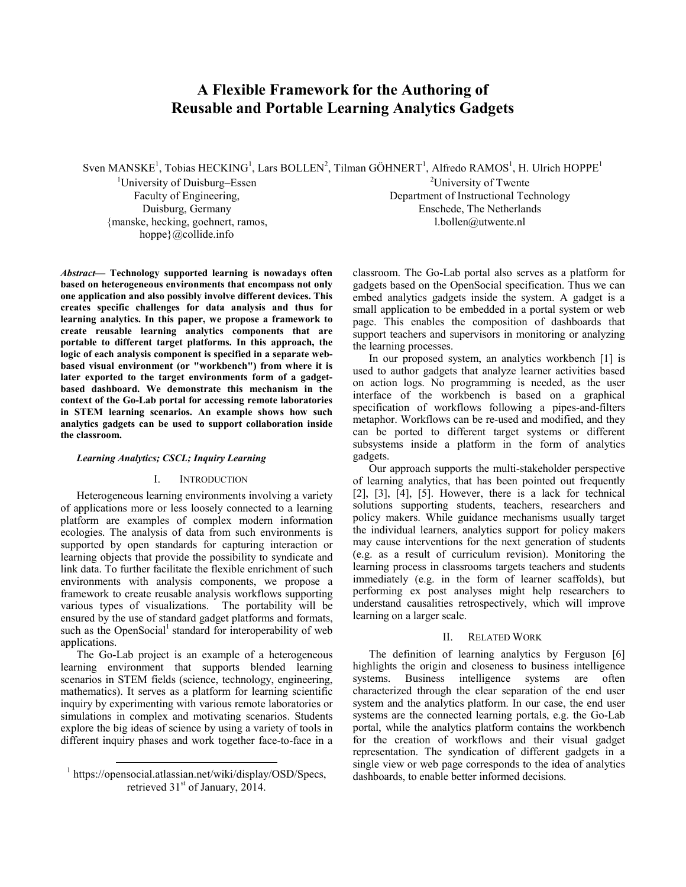# **A Flexible Framework for the Authoring of Reusable and Portable Learning Analytics Gadgets**

Sven MANSKE<sup>1</sup>, Tobias HECKING<sup>1</sup>, Lars BOLLEN<sup>2</sup>, Tilman GÖHNERT<sup>1</sup>, Alfredo RAMOS<sup>1</sup>, H. Ulrich HOPPE<sup>1</sup>

<sup>1</sup>University of Duisburg–Essen Faculty of Engineering, Duisburg, Germany {manske, hecking, goehnert, ramos, hoppe}@collide.info

*Abstract***— Technology supported learning is nowadays often based on heterogeneous environments that encompass not only one application and also possibly involve different devices. This creates specific challenges for data analysis and thus for learning analytics. In this paper, we propose a framework to create reusable learning analytics components that are portable to different target platforms. In this approach, the logic of each analysis component is specified in a separate webbased visual environment (or "workbench") from where it is later exported to the target environments form of a gadgetbased dashboard. We demonstrate this mechanism in the context of the Go-Lab portal for accessing remote laboratories in STEM learning scenarios. An example shows how such analytics gadgets can be used to support collaboration inside the classroom.** 

### *Learning Analytics; CSCL; Inquiry Learning*

### I. INTRODUCTION

Heterogeneous learning environments involving a variety of applications more or less loosely connected to a learning platform are examples of complex modern information ecologies. The analysis of data from such environments is supported by open standards for capturing interaction or learning objects that provide the possibility to syndicate and link data. To further facilitate the flexible enrichment of such environments with analysis components, we propose a framework to create reusable analysis workflows supporting various types of visualizations. The portability will be ensured by the use of standard gadget platforms and formats, such as the OpenSocial<sup>1</sup> standard for interoperability of web applications.

The Go-Lab project is an example of a heterogeneous learning environment that supports blended learning scenarios in STEM fields (science, technology, engineering, mathematics). It serves as a platform for learning scientific inquiry by experimenting with various remote laboratories or simulations in complex and motivating scenarios. Students explore the big ideas of science by using a variety of tools in different inquiry phases and work together face-to-face in a

<sup>2</sup>University of Twente Department of Instructional Technology Enschede, The Netherlands l.bollen@utwente.nl

classroom. The Go-Lab portal also serves as a platform for gadgets based on the OpenSocial specification. Thus we can embed analytics gadgets inside the system. A gadget is a small application to be embedded in a portal system or web page. This enables the composition of dashboards that support teachers and supervisors in monitoring or analyzing the learning processes.

In our proposed system, an analytics workbench [1] is used to author gadgets that analyze learner activities based on action logs. No programming is needed, as the user interface of the workbench is based on a graphical specification of workflows following a pipes-and-filters metaphor. Workflows can be re-used and modified, and they can be ported to different target systems or different subsystems inside a platform in the form of analytics gadgets.

Our approach supports the multi-stakeholder perspective of learning analytics, that has been pointed out frequently  $[2]$ ,  $[3]$ ,  $[4]$ ,  $[5]$ . However, there is a lack for technical solutions supporting students, teachers, researchers and policy makers. While guidance mechanisms usually target the individual learners, analytics support for policy makers may cause interventions for the next generation of students (e.g. as a result of curriculum revision). Monitoring the learning process in classrooms targets teachers and students immediately (e.g. in the form of learner scaffolds), but performing ex post analyses might help researchers to understand causalities retrospectively, which will improve learning on a larger scale.

#### II. RELATED WORK

The definition of learning analytics by Ferguson [6] highlights the origin and closeness to business intelligence systems. Business intelligence systems are often characterized through the clear separation of the end user system and the analytics platform. In our case, the end user systems are the connected learning portals, e.g. the Go-Lab portal, while the analytics platform contains the workbench for the creation of workflows and their visual gadget representation. The syndication of different gadgets in a single view or web page corresponds to the idea of analytics dashboards, to enable better informed decisions.

 <sup>1</sup> https://opensocial.atlassian.net/wiki/display/OSD/Specs, retrieved  $31<sup>st</sup>$  of January, 2014.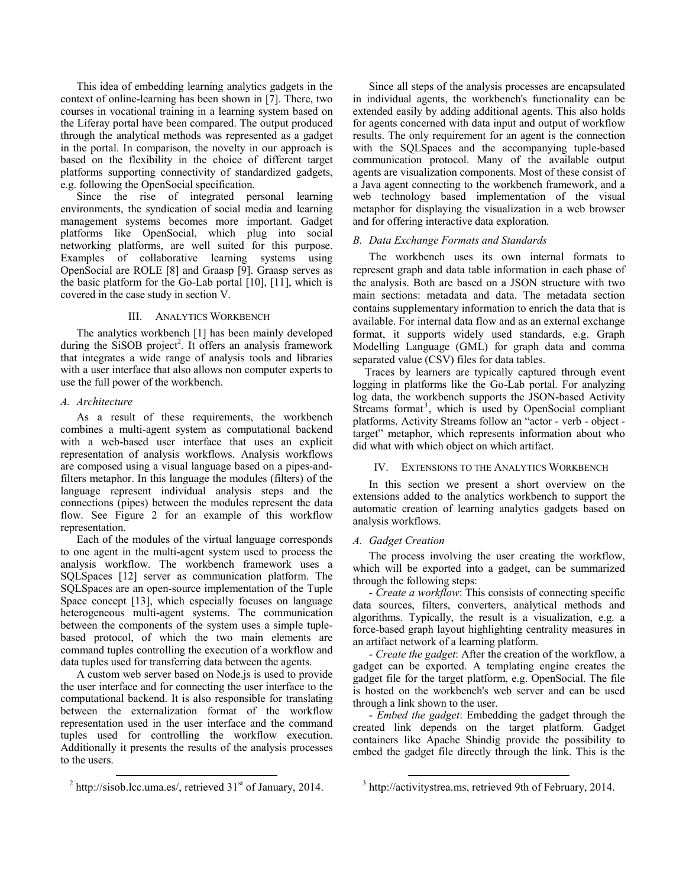This idea of embedding learning analytics gadgets in the context of online-learning has been shown in [7]. There, two courses in vocational training in a learning system based on the Liferay portal have been compared. The output produced through the analytical methods was represented as a gadget in the portal. In comparison, the novelty in our approach is based on the flexibility in the choice of different target platforms supporting connectivity of standardized gadgets, e.g. following the OpenSocial specification.

Since the rise of integrated personal learning environments, the syndication of social media and learning management systems becomes more important. Gadget platforms like OpenSocial, which plug into social networking platforms, are well suited for this purpose. Examples of collaborative learning systems using OpenSocial are ROLE [8] and Graasp [9]. Graasp serves as the basic platform for the Go-Lab portal [10], [11], which is covered in the case study in section V.

### III. ANALYTICS WORKBENCH

The analytics workbench [1] has been mainly developed during the SiSOB project<sup>2</sup>. It offers an analysis framework that integrates a wide range of analysis tools and libraries with a user interface that also allows non computer experts to use the full power of the workbench.

# *A. Architecture*

As a result of these requirements, the workbench combines a multi-agent system as computational backend with a web-based user interface that uses an explicit representation of analysis workflows. Analysis workflows are composed using a visual language based on a pipes-andfilters metaphor. In this language the modules (filters) of the language represent individual analysis steps and the connections (pipes) between the modules represent the data flow. See Figure 2 for an example of this workflow representation.

Each of the modules of the virtual language corresponds to one agent in the multi-agent system used to process the analysis workflow. The workbench framework uses a SQLSpaces [12] server as communication platform. The SQLSpaces are an open-source implementation of the Tuple Space concept [13], which especially focuses on language heterogeneous multi-agent systems. The communication between the components of the system uses a simple tuplebased protocol, of which the two main elements are command tuples controlling the execution of a workflow and data tuples used for transferring data between the agents.

A custom web server based on Node.js is used to provide the user interface and for connecting the user interface to the computational backend. It is also responsible for translating between the externalization format of the workflow representation used in the user interface and the command tuples used for controlling the workflow execution. Additionally it presents the results of the analysis processes to the users.

 $\frac{1}{2}$  http://sisob.lcc.uma.es/, retrieved 31<sup>st</sup> of January, 2014.

Since all steps of the analysis processes are encapsulated in individual agents, the workbench's functionality can be extended easily by adding additional agents. This also holds for agents concerned with data input and output of workflow results. The only requirement for an agent is the connection with the SQLSpaces and the accompanying tuple-based communication protocol. Many of the available output agents are visualization components. Most of these consist of a Java agent connecting to the workbench framework, and a web technology based implementation of the visual metaphor for displaying the visualization in a web browser and for offering interactive data exploration.

# *B. Data Exchange Formats and Standards*

The workbench uses its own internal formats to represent graph and data table information in each phase of the analysis. Both are based on a JSON structure with two main sections: metadata and data. The metadata section contains supplementary information to enrich the data that is available. For internal data flow and as an external exchange format, it supports widely used standards, e.g. Graph Modelling Language (GML) for graph data and comma separated value (CSV) files for data tables.

Traces by learners are typically captured through event logging in platforms like the Go-Lab portal. For analyzing log data, the workbench supports the JSON-based Activity Streams format<sup>3</sup>, which is used by OpenSocial compliant platforms. Activity Streams follow an "actor - verb - object target" metaphor, which represents information about who did what with which object on which artifact.

# IV. EXTENSIONS TO THE ANALYTICS WORKBENCH

In this section we present a short overview on the extensions added to the analytics workbench to support the automatic creation of learning analytics gadgets based on analysis workflows.

# *A. Gadget Creation*

The process involving the user creating the workflow, which will be exported into a gadget, can be summarized through the following steps:

- *Create a workflow*: This consists of connecting specific data sources, filters, converters, analytical methods and algorithms. Typically, the result is a visualization, e.g. a force-based graph layout highlighting centrality measures in an artifact network of a learning platform.

- *Create the gadget*: After the creation of the workflow, a gadget can be exported. A templating engine creates the gadget file for the target platform, e.g. OpenSocial. The file is hosted on the workbench's web server and can be used through a link shown to the user.

- *Embed the gadget*: Embedding the gadget through the created link depends on the target platform. Gadget containers like Apache Shindig provide the possibility to embed the gadget file directly through the link. This is the

<sup>&</sup>lt;sup>3</sup> http://activitystrea.ms, retrieved 9th of February, 2014.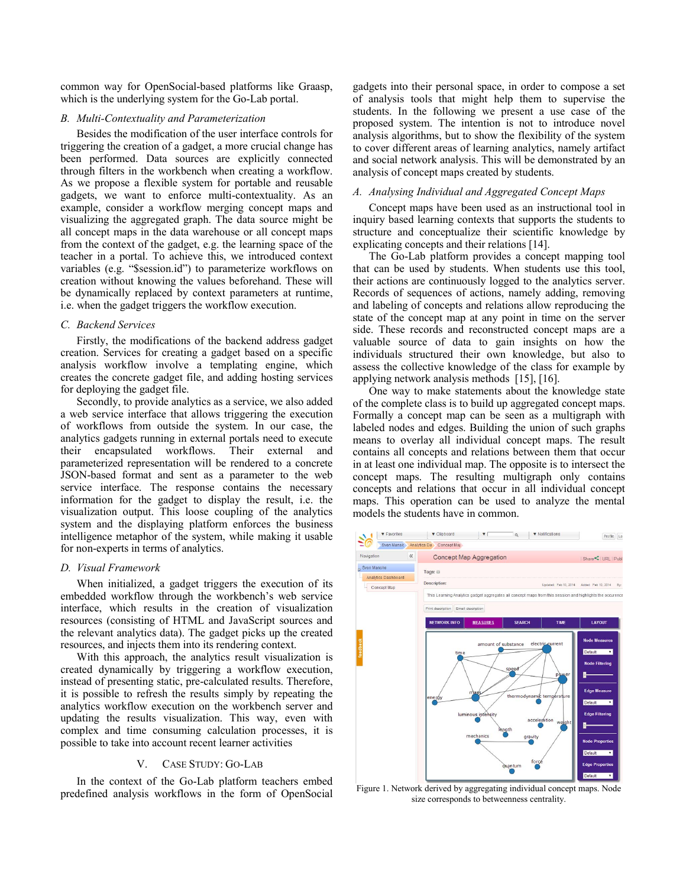common way for OpenSocial-based platforms like Graasp, which is the underlying system for the Go-Lab portal.

## *B. Multi-Contextuality and Parameterization*

Besides the modification of the user interface controls for triggering the creation of a gadget, a more crucial change has been performed. Data sources are explicitly connected through filters in the workbench when creating a workflow. As we propose a flexible system for portable and reusable gadgets, we want to enforce multi-contextuality. As an example, consider a workflow merging concept maps and visualizing the aggregated graph. The data source might be all concept maps in the data warehouse or all concept maps from the context of the gadget, e.g. the learning space of the teacher in a portal. To achieve this, we introduced context variables (e.g. "\$session.id") to parameterize workflows on creation without knowing the values beforehand. These will be dynamically replaced by context parameters at runtime, i.e. when the gadget triggers the workflow execution.

## *C. Backend Services*

Firstly, the modifications of the backend address gadget creation. Services for creating a gadget based on a specific analysis workflow involve a templating engine, which creates the concrete gadget file, and adding hosting services for deploying the gadget file.

Secondly, to provide analytics as a service, we also added a web service interface that allows triggering the execution of workflows from outside the system. In our case, the analytics gadgets running in external portals need to execute their encapsulated workflows. Their external and parameterized representation will be rendered to a concrete JSON-based format and sent as a parameter to the web service interface. The response contains the necessary information for the gadget to display the result, i.e. the visualization output. This loose coupling of the analytics system and the displaying platform enforces the business intelligence metaphor of the system, while making it usable for non-experts in terms of analytics.

# *D. Visual Framework*

When initialized, a gadget triggers the execution of its embedded workflow through the workbench's web service interface, which results in the creation of visualization resources (consisting of HTML and JavaScript sources and the relevant analytics data). The gadget picks up the created resources, and injects them into its rendering context.

With this approach, the analytics result visualization is created dynamically by triggering a workflow execution, instead of presenting static, pre-calculated results. Therefore, it is possible to refresh the results simply by repeating the analytics workflow execution on the workbench server and updating the results visualization. This way, even with complex and time consuming calculation processes, it is possible to take into account recent learner activities

# V. CASE STUDY: GO-LAB

In the context of the Go-Lab platform teachers embed predefined analysis workflows in the form of OpenSocial gadgets into their personal space, in order to compose a set of analysis tools that might help them to supervise the students. In the following we present a use case of the proposed system. The intention is not to introduce novel analysis algorithms, but to show the flexibility of the system to cover different areas of learning analytics, namely artifact and social network analysis. This will be demonstrated by an analysis of concept maps created by students.

# *A. Analysing Individual and Aggregated Concept Maps*

Concept maps have been used as an instructional tool in inquiry based learning contexts that supports the students to structure and conceptualize their scientific knowledge by explicating concepts and their relations [14].

The Go-Lab platform provides a concept mapping tool that can be used by students. When students use this tool, their actions are continuously logged to the analytics server. Records of sequences of actions, namely adding, removing and labeling of concepts and relations allow reproducing the state of the concept map at any point in time on the server side. These records and reconstructed concept maps are a valuable source of data to gain insights on how the individuals structured their own knowledge, but also to assess the collective knowledge of the class for example by applying network analysis methods [15], [16].

One way to make statements about the knowledge state of the complete class is to build up aggregated concept maps. Formally a concept map can be seen as a multigraph with labeled nodes and edges. Building the union of such graphs means to overlay all individual concept maps. The result contains all concepts and relations between them that occur in at least one individual map. The opposite is to intersect the concept maps. The resulting multigraph only contains concepts and relations that occur in all individual concept maps. This operation can be used to analyze the mental models the students have in common.



Figure 1. Network derived by aggregating individual concept maps. Node size corresponds to betweenness centrality.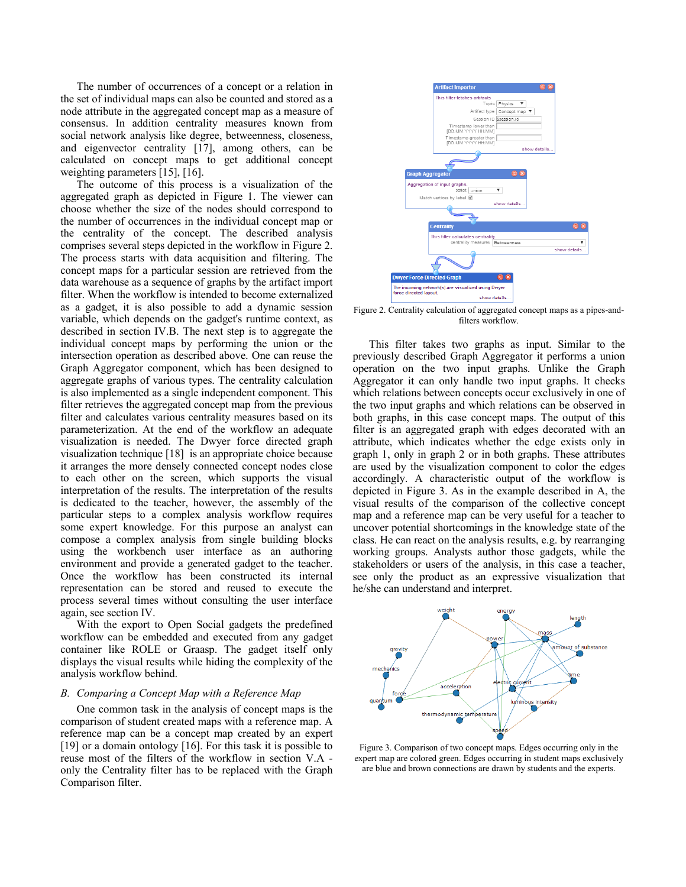The number of occurrences of a concept or a relation in the set of individual maps can also be counted and stored as a node attribute in the aggregated concept map as a measure of consensus. In addition centrality measures known from social network analysis like degree, betweenness, closeness, and eigenvector centrality [17], among others, can be calculated on concept maps to get additional concept weighting parameters [15], [16].

The outcome of this process is a visualization of the aggregated graph as depicted in Figure 1. The viewer can choose whether the size of the nodes should correspond to the number of occurrences in the individual concept map or the centrality of the concept. The described analysis comprises several steps depicted in the workflow in Figure 2. The process starts with data acquisition and filtering. The concept maps for a particular session are retrieved from the data warehouse as a sequence of graphs by the artifact import filter. When the workflow is intended to become externalized as a gadget, it is also possible to add a dynamic session variable, which depends on the gadget's runtime context, as described in section IV.B. The next step is to aggregate the individual concept maps by performing the union or the intersection operation as described above. One can reuse the Graph Aggregator component, which has been designed to aggregate graphs of various types. The centrality calculation is also implemented as a single independent component. This filter retrieves the aggregated concept map from the previous filter and calculates various centrality measures based on its parameterization. At the end of the workflow an adequate visualization is needed. The Dwyer force directed graph visualization technique [18] is an appropriate choice because it arranges the more densely connected concept nodes close to each other on the screen, which supports the visual interpretation of the results. The interpretation of the results is dedicated to the teacher, however, the assembly of the particular steps to a complex analysis workflow requires some expert knowledge. For this purpose an analyst can compose a complex analysis from single building blocks using the workbench user interface as an authoring environment and provide a generated gadget to the teacher. Once the workflow has been constructed its internal representation can be stored and reused to execute the process several times without consulting the user interface again, see section IV.

With the export to Open Social gadgets the predefined workflow can be embedded and executed from any gadget container like ROLE or Graasp. The gadget itself only displays the visual results while hiding the complexity of the analysis workflow behind.

#### *B. Comparing a Concept Map with a Reference Map*

One common task in the analysis of concept maps is the comparison of student created maps with a reference map. A reference map can be a concept map created by an expert [19] or a domain ontology [16]. For this task it is possible to reuse most of the filters of the workflow in section V.A only the Centrality filter has to be replaced with the Graph Comparison filter.



Figure 2. Centrality calculation of aggregated concept maps as a pipes-andfilters workflow.

This filter takes two graphs as input. Similar to the previously described Graph Aggregator it performs a union operation on the two input graphs. Unlike the Graph Aggregator it can only handle two input graphs. It checks which relations between concepts occur exclusively in one of the two input graphs and which relations can be observed in both graphs, in this case concept maps. The output of this filter is an aggregated graph with edges decorated with an attribute, which indicates whether the edge exists only in graph 1, only in graph 2 or in both graphs. These attributes are used by the visualization component to color the edges accordingly. A characteristic output of the workflow is depicted in Figure 3. As in the example described in A, the visual results of the comparison of the collective concept map and a reference map can be very useful for a teacher to uncover potential shortcomings in the knowledge state of the class. He can react on the analysis results, e.g. by rearranging working groups. Analysts author those gadgets, while the stakeholders or users of the analysis, in this case a teacher, see only the product as an expressive visualization that he/she can understand and interpret.



Figure 3. Comparison of two concept maps. Edges occurring only in the expert map are colored green. Edges occurring in student maps exclusively are blue and brown connections are drawn by students and the experts.